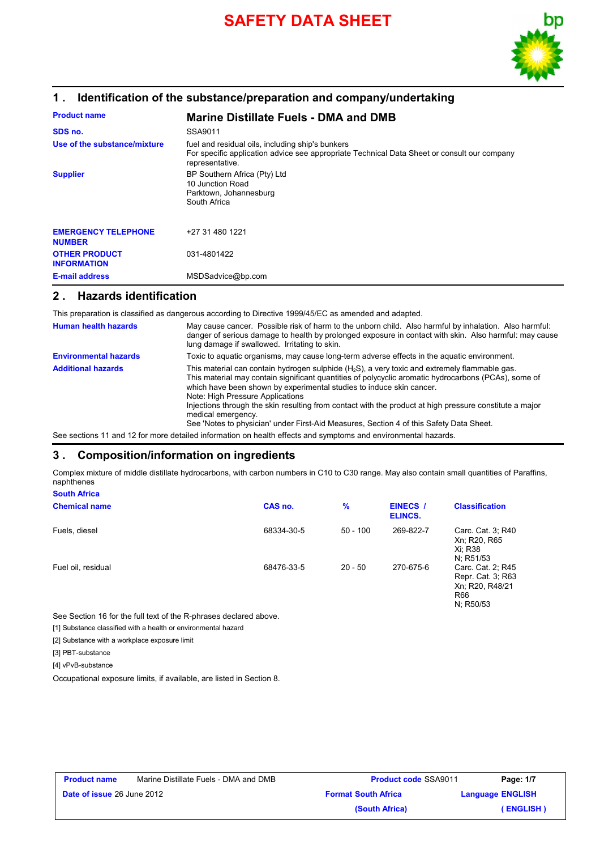

## **1 . Identification of the substance/preparation and company/undertaking**

| <b>Product name</b>                         | <b>Marine Distillate Fuels - DMA and DMB</b>                                                                                                                       |  |
|---------------------------------------------|--------------------------------------------------------------------------------------------------------------------------------------------------------------------|--|
| SDS no.                                     | SSA9011                                                                                                                                                            |  |
| Use of the substance/mixture                | fuel and residual oils, including ship's bunkers<br>For specific application advice see appropriate Technical Data Sheet or consult our company<br>representative. |  |
| <b>Supplier</b>                             | BP Southern Africa (Pty) Ltd<br>10 Junction Road<br>Parktown, Johannesburg<br>South Africa                                                                         |  |
| <b>EMERGENCY TELEPHONE</b><br><b>NUMBER</b> | +27 31 480 1221                                                                                                                                                    |  |
| <b>OTHER PRODUCT</b><br><b>INFORMATION</b>  | 031-4801422                                                                                                                                                        |  |
| <b>E-mail address</b>                       | MSDSadvice@bp.com                                                                                                                                                  |  |

## **2 . Hazards identification**

This preparation is classified as dangerous according to Directive 1999/45/EC as amended and adapted.

| <b>Human health hazards</b>  | May cause cancer. Possible risk of harm to the unborn child. Also harmful by inhalation. Also harmful:<br>danger of serious damage to health by prolonged exposure in contact with skin. Also harmful: may cause<br>lung damage if swallowed. Irritating to skin.                                                                                                                                                                                                                                                                                |
|------------------------------|--------------------------------------------------------------------------------------------------------------------------------------------------------------------------------------------------------------------------------------------------------------------------------------------------------------------------------------------------------------------------------------------------------------------------------------------------------------------------------------------------------------------------------------------------|
| <b>Environmental hazards</b> | Toxic to aquatic organisms, may cause long-term adverse effects in the aquatic environment.                                                                                                                                                                                                                                                                                                                                                                                                                                                      |
| <b>Additional hazards</b>    | This material can contain hydrogen sulphide $(H_2S)$ , a very toxic and extremely flammable gas.<br>This material may contain significant quantities of polycyclic aromatic hydrocarbons (PCAs), some of<br>which have been shown by experimental studies to induce skin cancer.<br>Note: High Pressure Applications<br>Injections through the skin resulting from contact with the product at high pressure constitute a major<br>medical emergency.<br>See 'Notes to physician' under First-Aid Measures, Section 4 of this Safety Data Sheet. |

See sections 11 and 12 for more detailed information on health effects and symptoms and environmental hazards.

## **3 . Composition/information on ingredients**

Complex mixture of middle distillate hydrocarbons, with carbon numbers in C10 to C30 range. May also contain small quantities of Paraffins, naphthenes **South Africa**

| <b>Chemical name</b>                                              | CAS no.    | $\frac{9}{6}$ | <b>EINECS /</b><br><b>ELINCS.</b> | <b>Classification</b>                                                         |
|-------------------------------------------------------------------|------------|---------------|-----------------------------------|-------------------------------------------------------------------------------|
| Fuels, diesel                                                     | 68334-30-5 | $50 - 100$    | 269-822-7                         | Carc. Cat. 3; R40<br>Xn: R20, R65<br>Xi: R38<br>N: R51/53                     |
| Fuel oil, residual                                                | 68476-33-5 | $20 - 50$     | 270-675-6                         | Carc. Cat. 2: R45<br>Repr. Cat. 3; R63<br>Xn; R20, R48/21<br>R66<br>N; R50/53 |
| See Section 16 for the full text of the R-phrases declared above. |            |               |                                   |                                                                               |
| [1] Substance classified with a health or environmental hazard    |            |               |                                   |                                                                               |

[2] Substance with a workplace exposure limit

[3] PBT-substance

[4] vPvB-substance

Occupational exposure limits, if available, are listed in Section 8.

| <b>Product name</b>               | Marine Distillate Fuels - DMA and DMB | <b>Product code SSA9011</b> | Page: 1/7               |
|-----------------------------------|---------------------------------------|-----------------------------|-------------------------|
| <b>Date of issue 26 June 2012</b> |                                       | <b>Format South Africa</b>  | <b>Language ENGLISH</b> |
|                                   |                                       | (South Africa)              | (ENGLISH)               |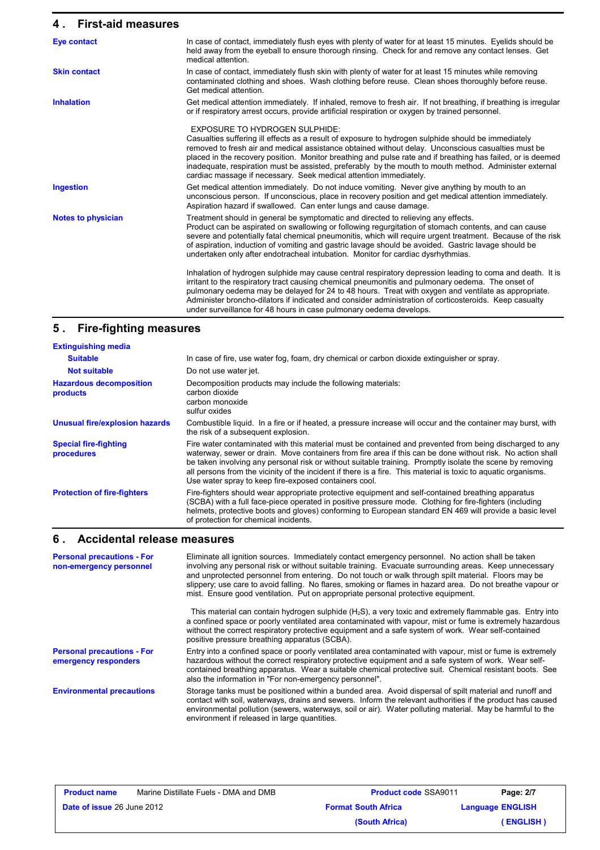## **4 . First-aid measures**

| <b>Eye contact</b>        | In case of contact, immediately flush eyes with plenty of water for at least 15 minutes. Eyelids should be<br>held away from the eyeball to ensure thorough rinsing. Check for and remove any contact lenses. Get<br>medical attention.                                                                                                                                                                                                                                                                                                          |
|---------------------------|--------------------------------------------------------------------------------------------------------------------------------------------------------------------------------------------------------------------------------------------------------------------------------------------------------------------------------------------------------------------------------------------------------------------------------------------------------------------------------------------------------------------------------------------------|
| <b>Skin contact</b>       | In case of contact, immediately flush skin with plenty of water for at least 15 minutes while removing<br>contaminated clothing and shoes. Wash clothing before reuse. Clean shoes thoroughly before reuse.<br>Get medical attention.                                                                                                                                                                                                                                                                                                            |
| <b>Inhalation</b>         | Get medical attention immediately. If inhaled, remove to fresh air. If not breathing, if breathing is irregular<br>or if respiratory arrest occurs, provide artificial respiration or oxygen by trained personnel.                                                                                                                                                                                                                                                                                                                               |
|                           | <b>EXPOSURE TO HYDROGEN SULPHIDE:</b><br>Casualties suffering ill effects as a result of exposure to hydrogen sulphide should be immediately<br>removed to fresh air and medical assistance obtained without delay. Unconscious casualties must be<br>placed in the recovery position. Monitor breathing and pulse rate and if breathing has failed, or is deemed<br>inadequate, respiration must be assisted, preferably by the mouth to mouth method. Administer external<br>cardiac massage if necessary. Seek medical attention immediately. |
| <b>Ingestion</b>          | Get medical attention immediately. Do not induce vomiting. Never give anything by mouth to an<br>unconscious person. If unconscious, place in recovery position and get medical attention immediately.<br>Aspiration hazard if swallowed. Can enter lungs and cause damage.                                                                                                                                                                                                                                                                      |
| <b>Notes to physician</b> | Treatment should in general be symptomatic and directed to relieving any effects.<br>Product can be aspirated on swallowing or following regurgitation of stomach contents, and can cause<br>severe and potentially fatal chemical pneumonitis, which will require urgent treatment. Because of the risk<br>of aspiration, induction of vomiting and gastric lavage should be avoided. Gastric lavage should be<br>undertaken only after endotracheal intubation. Monitor for cardiac dysrhythmias.                                              |
|                           | Inhalation of hydrogen sulphide may cause central respiratory depression leading to coma and death. It is<br>irritant to the respiratory tract causing chemical pneumonitis and pulmonary oedema. The onset of<br>pulmonary oedema may be delayed for 24 to 48 hours. Treat with oxygen and ventilate as appropriate.<br>Administer broncho-dilators if indicated and consider administration of corticosteroids. Keep casualty<br>under surveillance for 48 hours in case pulmonary oedema develops.                                            |

# **5 . Fire-fighting measures**

| <b>Extinguishing media</b>                 |                                                                                                                                                                                                                                                                                                                                                                                                                                                                                                               |
|--------------------------------------------|---------------------------------------------------------------------------------------------------------------------------------------------------------------------------------------------------------------------------------------------------------------------------------------------------------------------------------------------------------------------------------------------------------------------------------------------------------------------------------------------------------------|
| <b>Suitable</b>                            | In case of fire, use water fog, foam, dry chemical or carbon dioxide extinguisher or spray.                                                                                                                                                                                                                                                                                                                                                                                                                   |
| <b>Not suitable</b>                        | Do not use water jet.                                                                                                                                                                                                                                                                                                                                                                                                                                                                                         |
| <b>Hazardous decomposition</b><br>products | Decomposition products may include the following materials:<br>carbon dioxide<br>carbon monoxide<br>sulfur oxides                                                                                                                                                                                                                                                                                                                                                                                             |
| <b>Unusual fire/explosion hazards</b>      | Combustible liquid. In a fire or if heated, a pressure increase will occur and the container may burst, with<br>the risk of a subsequent explosion.                                                                                                                                                                                                                                                                                                                                                           |
| <b>Special fire-fighting</b><br>procedures | Fire water contaminated with this material must be contained and prevented from being discharged to any<br>waterway, sewer or drain. Move containers from fire area if this can be done without risk. No action shall<br>be taken involving any personal risk or without suitable training. Promptly isolate the scene by removing<br>all persons from the vicinity of the incident if there is a fire. This material is toxic to aquatic organisms.<br>Use water spray to keep fire-exposed containers cool. |
| <b>Protection of fire-fighters</b>         | Fire-fighters should wear appropriate protective equipment and self-contained breathing apparatus<br>(SCBA) with a full face-piece operated in positive pressure mode. Clothing for fire-fighters (including<br>helmets, protective boots and gloves) conforming to European standard EN 469 will provide a basic level<br>of protection for chemical incidents.                                                                                                                                              |

## **6 . Accidental release measures**

| <b>Personal precautions - For</b><br>non-emergency personnel | Eliminate all ignition sources. Immediately contact emergency personnel. No action shall be taken<br>involving any personal risk or without suitable training. Evacuate surrounding areas. Keep unnecessary<br>and unprotected personnel from entering. Do not touch or walk through spilt material. Floors may be<br>slippery; use care to avoid falling. No flares, smoking or flames in hazard area. Do not breathe vapour or<br>mist. Ensure good ventilation. Put on appropriate personal protective equipment.<br>This material can contain hydrogen sulphide (H <sub>2</sub> S), a very toxic and extremely flammable gas. Entry into |
|--------------------------------------------------------------|----------------------------------------------------------------------------------------------------------------------------------------------------------------------------------------------------------------------------------------------------------------------------------------------------------------------------------------------------------------------------------------------------------------------------------------------------------------------------------------------------------------------------------------------------------------------------------------------------------------------------------------------|
|                                                              | a confined space or poorly ventilated area contaminated with vapour, mist or fume is extremely hazardous<br>without the correct respiratory protective equipment and a safe system of work. Wear self-contained<br>positive pressure breathing apparatus (SCBA).                                                                                                                                                                                                                                                                                                                                                                             |
| <b>Personal precautions - For</b><br>emergency responders    | Entry into a confined space or poorly ventilated area contaminated with vapour, mist or fume is extremely<br>hazardous without the correct respiratory protective equipment and a safe system of work. Wear self-<br>contained breathing apparatus. Wear a suitable chemical protective suit. Chemical resistant boots. See<br>also the information in "For non-emergency personnel".                                                                                                                                                                                                                                                        |
| <b>Environmental precautions</b>                             | Storage tanks must be positioned within a bunded area. Avoid dispersal of spilt material and runoff and<br>contact with soil, waterways, drains and sewers. Inform the relevant authorities if the product has caused<br>environmental pollution (sewers, waterways, soil or air). Water polluting material. May be harmful to the<br>environment if released in large quantities.                                                                                                                                                                                                                                                           |

| <b>Product name</b>               | Marine Distillate Fuels - DMA and DMB | <b>Product code SSA9011</b> | Page: 2/7               |
|-----------------------------------|---------------------------------------|-----------------------------|-------------------------|
| <b>Date of issue 26 June 2012</b> |                                       | <b>Format South Africa</b>  | <b>Language ENGLISH</b> |
|                                   |                                       | (South Africa)              | (ENGLISH)               |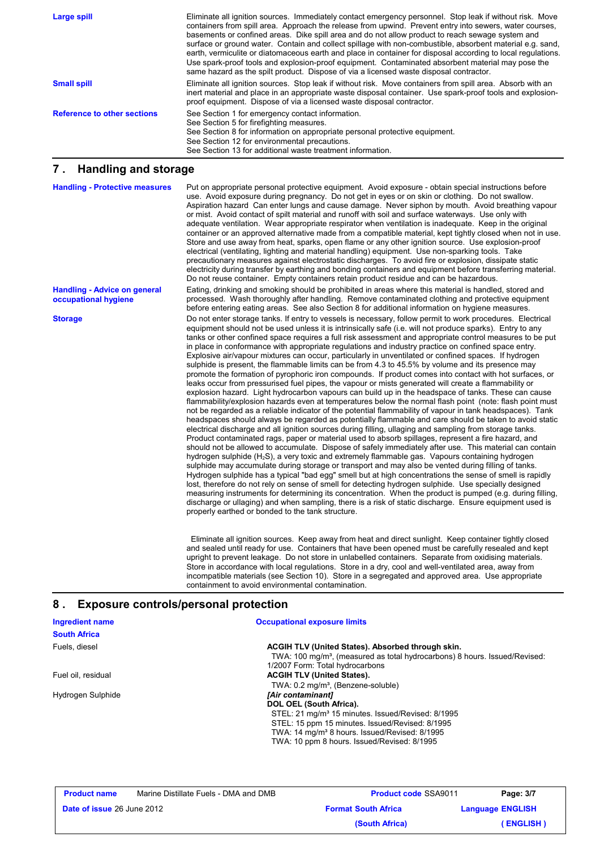| Large spill                        | Eliminate all ignition sources. Immediately contact emergency personnel. Stop leak if without risk. Move<br>containers from spill area. Approach the release from upwind. Prevent entry into sewers, water courses,<br>basements or confined areas. Dike spill area and do not allow product to reach sewage system and<br>surface or ground water. Contain and collect spillage with non-combustible, absorbent material e.g. sand,<br>earth, vermiculite or diatomaceous earth and place in container for disposal according to local regulations.<br>Use spark-proof tools and explosion-proof equipment. Contaminated absorbent material may pose the<br>same hazard as the spilt product. Dispose of via a licensed waste disposal contractor. |
|------------------------------------|-----------------------------------------------------------------------------------------------------------------------------------------------------------------------------------------------------------------------------------------------------------------------------------------------------------------------------------------------------------------------------------------------------------------------------------------------------------------------------------------------------------------------------------------------------------------------------------------------------------------------------------------------------------------------------------------------------------------------------------------------------|
| <b>Small spill</b>                 | Eliminate all ignition sources. Stop leak if without risk. Move containers from spill area. Absorb with an<br>inert material and place in an appropriate waste disposal container. Use spark-proof tools and explosion-<br>proof equipment. Dispose of via a licensed waste disposal contractor.                                                                                                                                                                                                                                                                                                                                                                                                                                                    |
| <b>Reference to other sections</b> | See Section 1 for emergency contact information.<br>See Section 5 for firefighting measures.<br>See Section 8 for information on appropriate personal protective equipment.<br>See Section 12 for environmental precautions.<br>See Section 13 for additional waste treatment information.                                                                                                                                                                                                                                                                                                                                                                                                                                                          |

## **7 . Handling and storage**

**Storage Do not enter storage tanks**. If entry to vessels is necessary, follow permit to work procedures. Electrical equipment should not be used unless it is intrinsically safe (i.e. will not produce sparks). Entry to any tanks or other confined space requires a full risk assessment and appropriate control measures to be put in place in conformance with appropriate regulations and industry practice on confined space entry. Explosive air/vapour mixtures can occur, particularly in unventilated or confined spaces. If hydrogen sulphide is present, the flammable limits can be from 4.3 to 45.5% by volume and its presence may promote the formation of pyrophoric iron compounds. If product comes into contact with hot surfaces, or leaks occur from pressurised fuel pipes, the vapour or mists generated will create a flammability or explosion hazard. Light hydrocarbon vapours can build up in the headspace of tanks. These can cause flammability/explosion hazards even at temperatures below the normal flash point (note: flash point must not be regarded as a reliable indicator of the potential flammability of vapour in tank headspaces). Tank headspaces should always be regarded as potentially flammable and care should be taken to avoid static electrical discharge and all ignition sources during filling, ullaging and sampling from storage tanks. Product contaminated rags, paper or material used to absorb spillages, represent a fire hazard, and should not be allowed to accumulate. Dispose of safely immediately after use. This material can contain hydrogen sulphide (H<sub>2</sub>S), a very toxic and extremely flammable gas. Vapours containing hydrogen sulphide may accumulate during storage or transport and may also be vented during filling of tanks. Hydrogen sulphide has a typical "bad egg" smell but at high concentrations the sense of smell is rapidly lost, therefore do not rely on sense of smell for detecting hydrogen sulphide. Use specially designed measuring instruments for determining its concentration. When the product is pumped (e.g. during filling, discharge or ullaging) and when sampling, there is a risk of static discharge. Ensure equipment used is properly earthed or bonded to the tank structure. Put on appropriate personal protective equipment. Avoid exposure - obtain special instructions before use. Avoid exposure during pregnancy. Do not get in eyes or on skin or clothing. Do not swallow. Aspiration hazard Can enter lungs and cause damage. Never siphon by mouth. Avoid breathing vapour or mist. Avoid contact of spilt material and runoff with soil and surface waterways. Use only with adequate ventilation. Wear appropriate respirator when ventilation is inadequate. Keep in the original container or an approved alternative made from a compatible material, kept tightly closed when not in use. Store and use away from heat, sparks, open flame or any other ignition source. Use explosion-proof electrical (ventilating, lighting and material handling) equipment. Use non-sparking tools. Take precautionary measures against electrostatic discharges. To avoid fire or explosion, dissipate static electricity during transfer by earthing and bonding containers and equipment before transferring material. Do not reuse container. Empty containers retain product residue and can be hazardous. **Handling - Protective measures Handling - Advice on general occupational hygiene** Eating, drinking and smoking should be prohibited in areas where this material is handled, stored and processed. Wash thoroughly after handling. Remove contaminated clothing and protective equipment before entering eating areas. See also Section 8 for additional information on hygiene measures.

> Eliminate all ignition sources. Keep away from heat and direct sunlight. Keep container tightly closed and sealed until ready for use. Containers that have been opened must be carefully resealed and kept upright to prevent leakage. Do not store in unlabelled containers. Separate from oxidising materials. Store in accordance with local regulations. Store in a dry, cool and well-ventilated area, away from incompatible materials (see Section 10). Store in a segregated and approved area. Use appropriate containment to avoid environmental contamination.

### **8 . Exposure controls/personal protection**

| Ingredient name     | <b>Occupational exposure limits</b>                                                    |
|---------------------|----------------------------------------------------------------------------------------|
| <b>South Africa</b> |                                                                                        |
| Fuels, diesel       | ACGIH TLV (United States). Absorbed through skin.                                      |
|                     | TWA: 100 mg/m <sup>3</sup> , (measured as total hydrocarbons) 8 hours. Issued/Revised: |
|                     | 1/2007 Form: Total hydrocarbons                                                        |
| Fuel oil, residual  | <b>ACGIH TLV (United States).</b>                                                      |
|                     | TWA: 0.2 mg/m <sup>3</sup> , (Benzene-soluble)                                         |
| Hydrogen Sulphide   | [Air contaminant]                                                                      |
|                     | DOL OEL (South Africa).                                                                |
|                     | STEL: 21 mg/m <sup>3</sup> 15 minutes. Issued/Revised: 8/1995                          |
|                     | STEL: 15 ppm 15 minutes. Issued/Revised: 8/1995                                        |
|                     | TWA: 14 mg/m <sup>3</sup> 8 hours. Issued/Revised: 8/1995                              |
|                     | TWA: 10 ppm 8 hours. Issued/Revised: 8/1995                                            |

| <b>Product name</b>               | Marine Distillate Fuels - DMA and DMB | <b>Product code SSA9011</b> | Page: 3/7               |
|-----------------------------------|---------------------------------------|-----------------------------|-------------------------|
| <b>Date of issue 26 June 2012</b> |                                       | <b>Format South Africa</b>  | <b>Language ENGLISH</b> |
|                                   |                                       | (South Africa)              | (ENGLISH)               |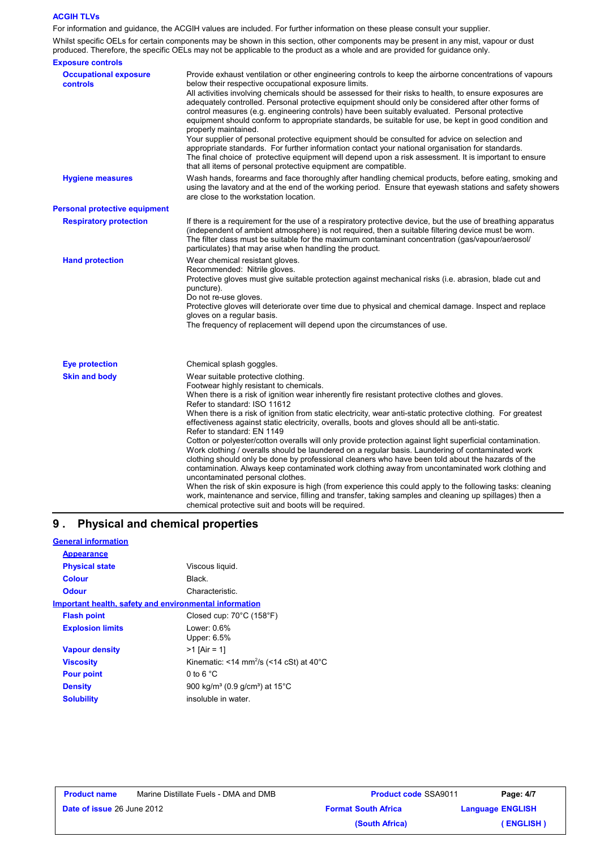### **ACGIH TLVs**

For information and guidance, the ACGIH values are included. For further information on these please consult your supplier. Whilst specific OELs for certain components may be shown in this section, other components may be present in any mist, vapour or dust produced. Therefore, the specific OELs may not be applicable to the product as a whole and are provided for guidance only.

| <b>Exposure controls</b>                 |                                                                                                                                                                                                                                                                                                                                                                                                                                                                                                                                                                                                                                                                                                                                                                                                                                                                                                                                                                                                                                                                                                                                                                                                              |
|------------------------------------------|--------------------------------------------------------------------------------------------------------------------------------------------------------------------------------------------------------------------------------------------------------------------------------------------------------------------------------------------------------------------------------------------------------------------------------------------------------------------------------------------------------------------------------------------------------------------------------------------------------------------------------------------------------------------------------------------------------------------------------------------------------------------------------------------------------------------------------------------------------------------------------------------------------------------------------------------------------------------------------------------------------------------------------------------------------------------------------------------------------------------------------------------------------------------------------------------------------------|
| <b>Occupational exposure</b><br>controls | Provide exhaust ventilation or other engineering controls to keep the airborne concentrations of vapours<br>below their respective occupational exposure limits.<br>All activities involving chemicals should be assessed for their risks to health, to ensure exposures are<br>adequately controlled. Personal protective equipment should only be considered after other forms of<br>control measures (e.g. engineering controls) have been suitably evaluated. Personal protective<br>equipment should conform to appropriate standards, be suitable for use, be kept in good condition and<br>properly maintained.<br>Your supplier of personal protective equipment should be consulted for advice on selection and<br>appropriate standards. For further information contact your national organisation for standards.<br>The final choice of protective equipment will depend upon a risk assessment. It is important to ensure<br>that all items of personal protective equipment are compatible.                                                                                                                                                                                                    |
| <b>Hygiene measures</b>                  | Wash hands, forearms and face thoroughly after handling chemical products, before eating, smoking and<br>using the lavatory and at the end of the working period. Ensure that eyewash stations and safety showers<br>are close to the workstation location.                                                                                                                                                                                                                                                                                                                                                                                                                                                                                                                                                                                                                                                                                                                                                                                                                                                                                                                                                  |
| <b>Personal protective equipment</b>     |                                                                                                                                                                                                                                                                                                                                                                                                                                                                                                                                                                                                                                                                                                                                                                                                                                                                                                                                                                                                                                                                                                                                                                                                              |
| <b>Respiratory protection</b>            | If there is a requirement for the use of a respiratory protective device, but the use of breathing apparatus<br>(independent of ambient atmosphere) is not required, then a suitable filtering device must be worn.<br>The filter class must be suitable for the maximum contaminant concentration (gas/vapour/aerosol/<br>particulates) that may arise when handling the product.                                                                                                                                                                                                                                                                                                                                                                                                                                                                                                                                                                                                                                                                                                                                                                                                                           |
| <b>Hand protection</b>                   | Wear chemical resistant gloves.<br>Recommended: Nitrile gloves.<br>Protective gloves must give suitable protection against mechanical risks (i.e. abrasion, blade cut and<br>puncture).<br>Do not re-use gloves.<br>Protective gloves will deteriorate over time due to physical and chemical damage. Inspect and replace<br>gloves on a regular basis.<br>The frequency of replacement will depend upon the circumstances of use.                                                                                                                                                                                                                                                                                                                                                                                                                                                                                                                                                                                                                                                                                                                                                                           |
| <b>Eye protection</b>                    | Chemical splash goggles.                                                                                                                                                                                                                                                                                                                                                                                                                                                                                                                                                                                                                                                                                                                                                                                                                                                                                                                                                                                                                                                                                                                                                                                     |
| <b>Skin and body</b>                     | Wear suitable protective clothing.<br>Footwear highly resistant to chemicals.<br>When there is a risk of ignition wear inherently fire resistant protective clothes and gloves.<br>Refer to standard: ISO 11612<br>When there is a risk of ignition from static electricity, wear anti-static protective clothing. For greatest<br>effectiveness against static electricity, overalls, boots and gloves should all be anti-static.<br>Refer to standard: EN 1149<br>Cotton or polyester/cotton overalls will only provide protection against light superficial contamination.<br>Work clothing / overalls should be laundered on a regular basis. Laundering of contaminated work<br>clothing should only be done by professional cleaners who have been told about the hazards of the<br>contamination. Always keep contaminated work clothing away from uncontaminated work clothing and<br>uncontaminated personal clothes.<br>When the risk of skin exposure is high (from experience this could apply to the following tasks: cleaning<br>work, maintenance and service, filling and transfer, taking samples and cleaning up spillages) then a<br>chemical protective suit and boots will be required. |

## **9 . Physical and chemical properties**

| <b>General information</b>                             |                                                                  |
|--------------------------------------------------------|------------------------------------------------------------------|
| <b>Appearance</b>                                      |                                                                  |
| <b>Physical state</b>                                  | Viscous liquid.                                                  |
| <b>Colour</b>                                          | Black.                                                           |
| <b>Odour</b>                                           | Characteristic                                                   |
| Important health, safety and environmental information |                                                                  |
| <b>Flash point</b>                                     | Closed cup: $70^{\circ}$ C (158 $^{\circ}$ F)                    |
| <b>Explosion limits</b>                                | Lower: $0.6\%$<br>Upper: $6.5%$                                  |
| <b>Vapour density</b>                                  | $>1$ [Air = 1]                                                   |
| <b>Viscosity</b>                                       | Kinematic: <14 mm <sup>2</sup> /s (<14 cSt) at 40 $^{\circ}$ C   |
| <b>Pour point</b>                                      | 0 to 6 $^{\circ}$ C                                              |
| <b>Density</b>                                         | 900 kg/m <sup>3</sup> (0.9 g/cm <sup>3</sup> ) at $15^{\circ}$ C |
| <b>Solubility</b>                                      | insoluble in water.                                              |
|                                                        |                                                                  |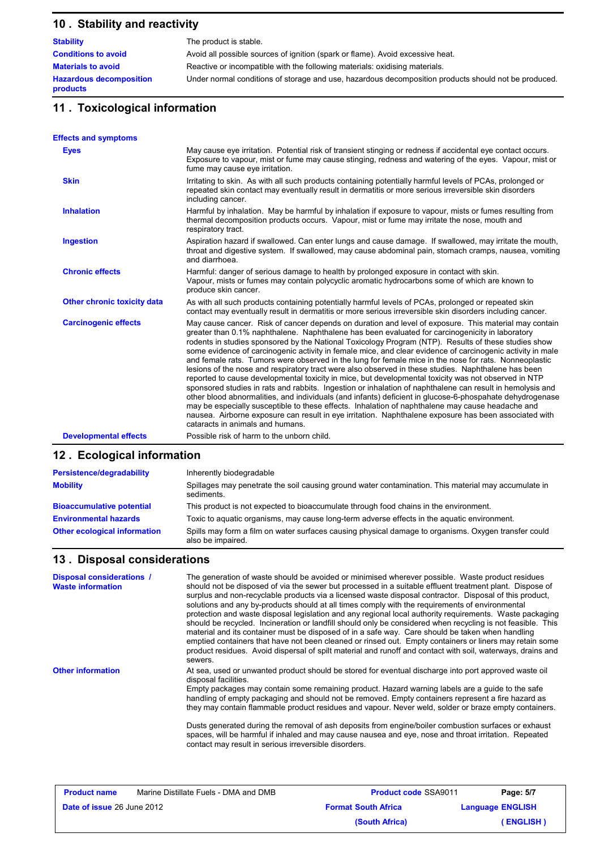# **10 . Stability and reactivity**

| <b>Stability</b>                           | The product is stable.                                                                               |
|--------------------------------------------|------------------------------------------------------------------------------------------------------|
| <b>Conditions to avoid</b>                 | Avoid all possible sources of ignition (spark or flame). Avoid excessive heat.                       |
| <b>Materials to avoid</b>                  | Reactive or incompatible with the following materials: oxidising materials.                          |
| <b>Hazardous decomposition</b><br>products | Under normal conditions of storage and use, hazardous decomposition products should not be produced. |

# **11 . Toxicological information**

| <b>Effects and symptoms</b>  |                                                                                                                                                                                                                                                                                                                                                                                                                                                                                                                                                                                                                                                                                                                                                                                                                                                                                                                                                                                                                                                                                                                                                                                                                                  |
|------------------------------|----------------------------------------------------------------------------------------------------------------------------------------------------------------------------------------------------------------------------------------------------------------------------------------------------------------------------------------------------------------------------------------------------------------------------------------------------------------------------------------------------------------------------------------------------------------------------------------------------------------------------------------------------------------------------------------------------------------------------------------------------------------------------------------------------------------------------------------------------------------------------------------------------------------------------------------------------------------------------------------------------------------------------------------------------------------------------------------------------------------------------------------------------------------------------------------------------------------------------------|
| <b>Eyes</b>                  | May cause eye irritation. Potential risk of transient stinging or redness if accidental eye contact occurs.<br>Exposure to vapour, mist or fume may cause stinging, redness and watering of the eyes. Vapour, mist or<br>fume may cause eye irritation.                                                                                                                                                                                                                                                                                                                                                                                                                                                                                                                                                                                                                                                                                                                                                                                                                                                                                                                                                                          |
| <b>Skin</b>                  | Irritating to skin. As with all such products containing potentially harmful levels of PCAs, prolonged or<br>repeated skin contact may eventually result in dermatitis or more serious irreversible skin disorders<br>including cancer.                                                                                                                                                                                                                                                                                                                                                                                                                                                                                                                                                                                                                                                                                                                                                                                                                                                                                                                                                                                          |
| <b>Inhalation</b>            | Harmful by inhalation. May be harmful by inhalation if exposure to vapour, mists or fumes resulting from<br>thermal decomposition products occurs. Vapour, mist or fume may irritate the nose, mouth and<br>respiratory tract.                                                                                                                                                                                                                                                                                                                                                                                                                                                                                                                                                                                                                                                                                                                                                                                                                                                                                                                                                                                                   |
| <b>Ingestion</b>             | Aspiration hazard if swallowed. Can enter lungs and cause damage. If swallowed, may irritate the mouth,<br>throat and digestive system. If swallowed, may cause abdominal pain, stomach cramps, nausea, vomiting<br>and diarrhoea                                                                                                                                                                                                                                                                                                                                                                                                                                                                                                                                                                                                                                                                                                                                                                                                                                                                                                                                                                                                |
| <b>Chronic effects</b>       | Harmful: danger of serious damage to health by prolonged exposure in contact with skin.<br>Vapour, mists or fumes may contain polycyclic aromatic hydrocarbons some of which are known to<br>produce skin cancer.                                                                                                                                                                                                                                                                                                                                                                                                                                                                                                                                                                                                                                                                                                                                                                                                                                                                                                                                                                                                                |
| Other chronic toxicity data  | As with all such products containing potentially harmful levels of PCAs, prolonged or repeated skin<br>contact may eventually result in dermatitis or more serious irreversible skin disorders including cancer.                                                                                                                                                                                                                                                                                                                                                                                                                                                                                                                                                                                                                                                                                                                                                                                                                                                                                                                                                                                                                 |
| <b>Carcinogenic effects</b>  | May cause cancer. Risk of cancer depends on duration and level of exposure. This material may contain<br>greater than 0.1% naphthalene. Naphthalene has been evaluated for carcinogenicity in laboratory<br>rodents in studies sponsored by the National Toxicology Program (NTP). Results of these studies show<br>some evidence of carcinogenic activity in female mice, and clear evidence of carcinogenic activity in male<br>and female rats. Tumors were observed in the lung for female mice in the nose for rats. Nonneoplastic<br>lesions of the nose and respiratory tract were also observed in these studies. Naphthalene has been<br>reported to cause developmental toxicity in mice, but developmental toxicity was not observed in NTP<br>sponsored studies in rats and rabbits. Ingestion or inhalation of naphthalene can result in hemolysis and<br>other blood abnormalities, and individuals (and infants) deficient in glucose-6-phospahate dehydrogenase<br>may be especially susceptible to these effects. Inhalation of naphthalene may cause headache and<br>nausea. Airborne exposure can result in eye irritation. Naphthalene exposure has been associated with<br>cataracts in animals and humans. |
| <b>Developmental effects</b> | Possible risk of harm to the unborn child.                                                                                                                                                                                                                                                                                                                                                                                                                                                                                                                                                                                                                                                                                                                                                                                                                                                                                                                                                                                                                                                                                                                                                                                       |

# **12 . Ecological information**

| Persistence/degradability           | Inherently biodegradable                                                                                                  |
|-------------------------------------|---------------------------------------------------------------------------------------------------------------------------|
| <b>Mobility</b>                     | Spillages may penetrate the soil causing ground water contamination. This material may accumulate in<br>sediments.        |
| <b>Bioaccumulative potential</b>    | This product is not expected to bioaccumulate through food chains in the environment.                                     |
| <b>Environmental hazards</b>        | Toxic to aguatic organisms, may cause long-term adverse effects in the aguatic environment.                               |
| <b>Other ecological information</b> | Spills may form a film on water surfaces causing physical damage to organisms. Oxygen transfer could<br>also be impaired. |

## **13 . Disposal considerations**

| <b>Disposal considerations /</b><br><b>Waste information</b> | The generation of waste should be avoided or minimised wherever possible. Waste product residues<br>should not be disposed of via the sewer but processed in a suitable effluent treatment plant. Dispose of<br>surplus and non-recyclable products via a licensed waste disposal contractor. Disposal of this product,<br>solutions and any by-products should at all times comply with the requirements of environmental<br>protection and waste disposal legislation and any regional local authority requirements. Waste packaging<br>should be recycled. Incineration or landfill should only be considered when recycling is not feasible. This<br>material and its container must be disposed of in a safe way. Care should be taken when handling<br>emptied containers that have not been cleaned or rinsed out. Empty containers or liners may retain some<br>product residues. Avoid dispersal of spilt material and runoff and contact with soil, waterways, drains and<br>sewers. |
|--------------------------------------------------------------|------------------------------------------------------------------------------------------------------------------------------------------------------------------------------------------------------------------------------------------------------------------------------------------------------------------------------------------------------------------------------------------------------------------------------------------------------------------------------------------------------------------------------------------------------------------------------------------------------------------------------------------------------------------------------------------------------------------------------------------------------------------------------------------------------------------------------------------------------------------------------------------------------------------------------------------------------------------------------------------------|
| <b>Other information</b>                                     | At sea, used or unwanted product should be stored for eventual discharge into port approved waste oil<br>disposal facilities.<br>Empty packages may contain some remaining product. Hazard warning labels are a guide to the safe<br>handling of empty packaging and should not be removed. Empty containers represent a fire hazard as<br>they may contain flammable product residues and vapour. Never weld, solder or braze empty containers.<br>Dusts generated during the removal of ash deposits from engine/boiler combustion surfaces or exhaust<br>spaces, will be harmful if inhaled and may cause nausea and eye, nose and throat irritation. Repeated<br>contact may result in serious irreversible disorders.                                                                                                                                                                                                                                                                     |

| <b>Product name</b>               | Marine Distillate Fuels - DMA and DMB | <b>Product code SSA9011</b> | Page: 5/7               |
|-----------------------------------|---------------------------------------|-----------------------------|-------------------------|
| <b>Date of issue 26 June 2012</b> |                                       | <b>Format South Africa</b>  | <b>Language ENGLISH</b> |
|                                   |                                       | (South Africa)              | (ENGLISH)               |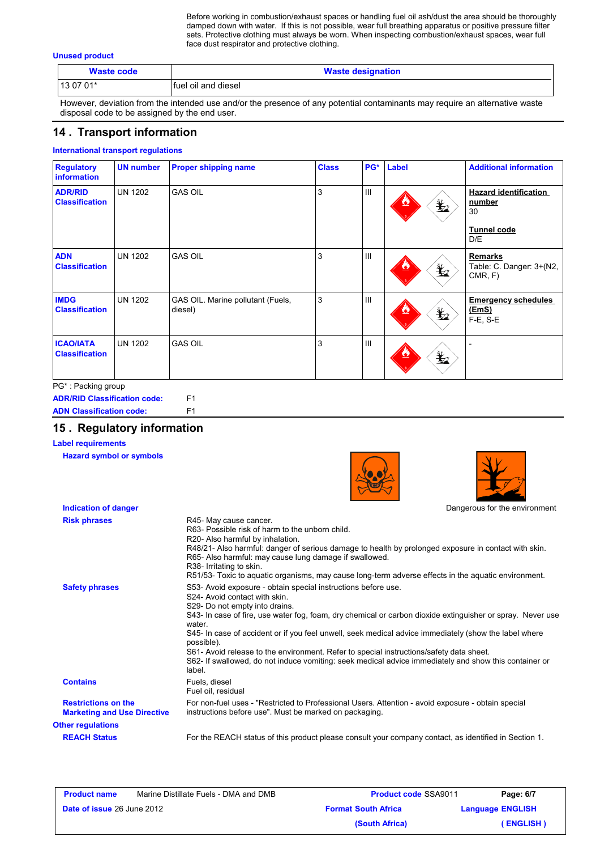Before working in combustion/exhaust spaces or handling fuel oil ash/dust the area should be thoroughly damped down with water. If this is not possible, wear full breathing apparatus or positive pressure filter sets. Protective clothing must always be worn. When inspecting combustion/exhaust spaces, wear full face dust respirator and protective clothing.

#### **Unused product**

| <b>Waste code</b> | <b>Waste designation</b> |
|-------------------|--------------------------|
| 13 07 01*         | fuel oil and diesel      |
| .<br>.            | .<br>.<br>$\cdots$<br>   |

However, deviation from the intended use and/or the presence of any potential contaminants may require an alternative waste disposal code to be assigned by the end user.

## **14 . Transport information**

### **International transport regulations**

| <b>Regulatory</b><br><b>information</b>   | <b>UN number</b> | <b>Proper shipping name</b>                  | <b>Class</b> | PG*                                   | Label                                      | <b>Additional information</b>                         |
|-------------------------------------------|------------------|----------------------------------------------|--------------|---------------------------------------|--------------------------------------------|-------------------------------------------------------|
| <b>ADR/RID</b><br><b>Classification</b>   | <b>UN 1202</b>   | <b>GAS OIL</b>                               | 3            | $\mathbf{III}$                        | $\bigstar$                                 | <b>Hazard identification</b><br>number<br>30          |
|                                           |                  |                                              |              |                                       |                                            | <b>Tunnel code</b><br>D/E                             |
| <b>ADN</b><br><b>Classification</b>       | <b>UN 1202</b>   | <b>GAS OIL</b>                               | 3            | $\mathbf{III}$                        | $\mathbf{\mathbf{\mathbf{\mathbf{\Psi}}}}$ | <b>Remarks</b><br>Table: C. Danger: 3+(N2,<br>CMR, F) |
| <b>IMDG</b><br><b>Classification</b>      | <b>UN 1202</b>   | GAS OIL. Marine pollutant (Fuels,<br>diesel) | 3            | $\mathbf{III}$                        | $\bigstar$                                 | <b>Emergency schedules</b><br>(EmS)<br>F-E, S-E       |
| <b>ICAO/IATA</b><br><b>Classification</b> | <b>UN 1202</b>   | <b>GAS OIL</b>                               | 3            | $\begin{array}{c} \hline \end{array}$ | $\bigstar$                                 |                                                       |

PG\* : Packing group

**ADR/RID Classification code:** F1 **ADN Classification code:** F1

## **15 . Regulatory information**

### **Label requirements**

**Indication of danger**

**Hazard symbol or symbols**





Dangerous for the environment

| <b>Risk phrases</b>                                              | R45- May cause cancer.<br>R63- Possible risk of harm to the unborn child.<br>R20- Also harmful by inhalation.<br>R48/21- Also harmful: danger of serious damage to health by prolonged exposure in contact with skin.<br>R65- Also harmful: may cause lung damage if swallowed.<br>R38- Irritating to skin.<br>R51/53- Toxic to aquatic organisms, may cause long-term adverse effects in the aquatic environment.                                                                                                                                                                            |
|------------------------------------------------------------------|-----------------------------------------------------------------------------------------------------------------------------------------------------------------------------------------------------------------------------------------------------------------------------------------------------------------------------------------------------------------------------------------------------------------------------------------------------------------------------------------------------------------------------------------------------------------------------------------------|
| <b>Safety phrases</b>                                            | S53- Avoid exposure - obtain special instructions before use.<br>S24- Avoid contact with skin.<br>S29- Do not empty into drains.<br>S43- In case of fire, use water fog, foam, dry chemical or carbon dioxide extinguisher or spray. Never use<br>water.<br>S45- In case of accident or if you feel unwell, seek medical advice immediately (show the label where<br>possible).<br>S61- Avoid release to the environment. Refer to special instructions/safety data sheet.<br>S62- If swallowed, do not induce vomiting: seek medical advice immediately and show this container or<br>label. |
| <b>Contains</b>                                                  | Fuels, diesel<br>Fuel oil, residual                                                                                                                                                                                                                                                                                                                                                                                                                                                                                                                                                           |
| <b>Restrictions on the</b><br><b>Marketing and Use Directive</b> | For non-fuel uses - "Restricted to Professional Users. Attention - avoid exposure - obtain special<br>instructions before use". Must be marked on packaging.                                                                                                                                                                                                                                                                                                                                                                                                                                  |
| <b>Other regulations</b>                                         |                                                                                                                                                                                                                                                                                                                                                                                                                                                                                                                                                                                               |
| <b>REACH Status</b>                                              | For the REACH status of this product please consult your company contact, as identified in Section 1.                                                                                                                                                                                                                                                                                                                                                                                                                                                                                         |
|                                                                  |                                                                                                                                                                                                                                                                                                                                                                                                                                                                                                                                                                                               |

| <b>Product name</b>               | Marine Distillate Fuels - DMA and DMB | <b>Product code SSA9011</b> | Page: 6/7               |
|-----------------------------------|---------------------------------------|-----------------------------|-------------------------|
| <b>Date of issue 26 June 2012</b> |                                       | <b>Format South Africa</b>  | <b>Language ENGLISH</b> |
|                                   |                                       | (South Africa)              | (ENGLISH )              |